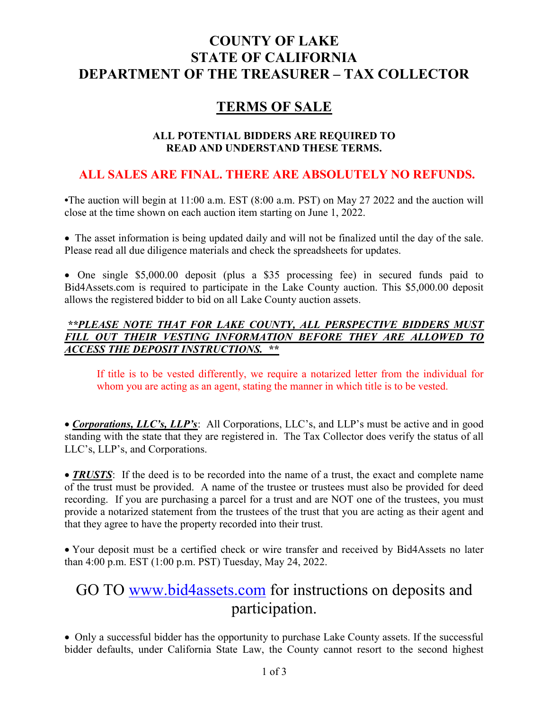# COUNTY OF LAKE STATE OF CALIFORNIA DEPARTMENT OF THE TREASURER – TAX COLLECTOR

## TERMS OF SALE

### ALL POTENTIAL BIDDERS ARE REQUIRED TO READ AND UNDERSTAND THESE TERMS.

## ALL SALES ARE FINAL. THERE ARE ABSOLUTELY NO REFUNDS.

•The auction will begin at 11:00 a.m. EST (8:00 a.m. PST) on May 27 2022 and the auction will close at the time shown on each auction item starting on June 1, 2022.

The asset information is being updated daily and will not be finalized until the day of the sale. Please read all due diligence materials and check the spreadsheets for updates.

One single \$5,000.00 deposit (plus a \$35 processing fee) in secured funds paid to Bid4Assets.com is required to participate in the Lake County auction. This \$5,000.00 deposit allows the registered bidder to bid on all Lake County auction assets.

### \*\*PLEASE NOTE THAT FOR LAKE COUNTY, ALL PERSPECTIVE BIDDERS MUST FILL OUT THEIR VESTING INFORMATION BEFORE THEY ARE ALLOWED TO ACCESS THE DEPOSIT INSTRUCTIONS. \*\*

If title is to be vested differently, we require a notarized letter from the individual for whom you are acting as an agent, stating the manner in which title is to be vested.

• Corporations, LLC's, LLP's: All Corporations, LLC's, and LLP's must be active and in good standing with the state that they are registered in. The Tax Collector does verify the status of all LLC's, LLP's, and Corporations.

• **TRUSTS**: If the deed is to be recorded into the name of a trust, the exact and complete name of the trust must be provided. A name of the trustee or trustees must also be provided for deed recording. If you are purchasing a parcel for a trust and are NOT one of the trustees, you must provide a notarized statement from the trustees of the trust that you are acting as their agent and that they agree to have the property recorded into their trust.

Your deposit must be a certified check or wire transfer and received by Bid4Assets no later than 4:00 p.m. EST (1:00 p.m. PST) Tuesday, May 24, 2022.

# GO TO www.bid4assets.com for instructions on deposits and participation.

Only a successful bidder has the opportunity to purchase Lake County assets. If the successful bidder defaults, under California State Law, the County cannot resort to the second highest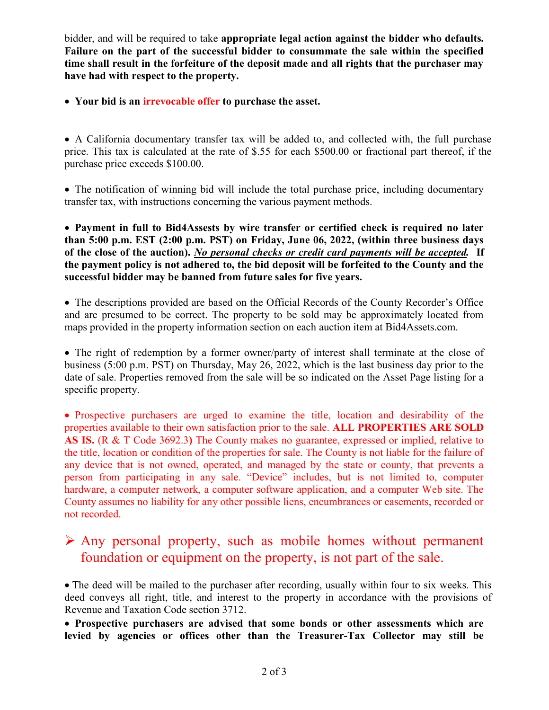bidder, and will be required to take appropriate legal action against the bidder who defaults. Failure on the part of the successful bidder to consummate the sale within the specified time shall result in the forfeiture of the deposit made and all rights that the purchaser may have had with respect to the property.

Your bid is an irrevocable offer to purchase the asset.

A California documentary transfer tax will be added to, and collected with, the full purchase price. This tax is calculated at the rate of \$.55 for each \$500.00 or fractional part thereof, if the purchase price exceeds \$100.00.

• The notification of winning bid will include the total purchase price, including documentary transfer tax, with instructions concerning the various payment methods.

Payment in full to Bid4Assests by wire transfer or certified check is required no later than 5:00 p.m. EST (2:00 p.m. PST) on Friday, June 06, 2022, (within three business days of the close of the auction). No personal checks or credit card payments will be accepted. If the payment policy is not adhered to, the bid deposit will be forfeited to the County and the successful bidder may be banned from future sales for five years.

The descriptions provided are based on the Official Records of the County Recorder's Office and are presumed to be correct. The property to be sold may be approximately located from maps provided in the property information section on each auction item at Bid4Assets.com.

• The right of redemption by a former owner/party of interest shall terminate at the close of business (5:00 p.m. PST) on Thursday, May 26, 2022, which is the last business day prior to the date of sale. Properties removed from the sale will be so indicated on the Asset Page listing for a specific property.

• Prospective purchasers are urged to examine the title, location and desirability of the properties available to their own satisfaction prior to the sale. ALL PROPERTIES ARE SOLD AS IS. (R & T Code 3692.3) The County makes no guarantee, expressed or implied, relative to the title, location or condition of the properties for sale. The County is not liable for the failure of any device that is not owned, operated, and managed by the state or county, that prevents a person from participating in any sale. "Device" includes, but is not limited to, computer hardware, a computer network, a computer software application, and a computer Web site. The County assumes no liability for any other possible liens, encumbrances or easements, recorded or not recorded.

# Any personal property, such as mobile homes without permanent foundation or equipment on the property, is not part of the sale.

The deed will be mailed to the purchaser after recording, usually within four to six weeks. This deed conveys all right, title, and interest to the property in accordance with the provisions of Revenue and Taxation Code section 3712.

Prospective purchasers are advised that some bonds or other assessments which are levied by agencies or offices other than the Treasurer-Tax Collector may still be